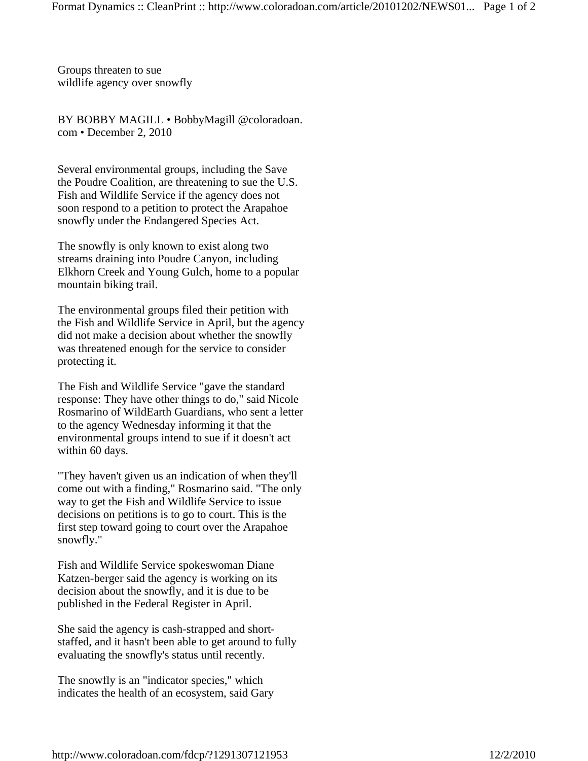Groups threaten to sue wildlife agency over snowfly

BY BOBBY MAGILL • BobbyMagill @coloradoan. com • December 2, 2010

Several environmental groups, including the Save the Poudre Coalition, are threatening to sue the U.S. Fish and Wildlife Service if the agency does not soon respond to a petition to protect the Arapahoe snowfly under the Endangered Species Act.

The snowfly is only known to exist along two streams draining into Poudre Canyon, including Elkhorn Creek and Young Gulch, home to a popular mountain biking trail.

The environmental groups filed their petition with the Fish and Wildlife Service in April, but the agency did not make a decision about whether the snowfly was threatened enough for the service to consider protecting it.

The Fish and Wildlife Service "gave the standard response: They have other things to do," said Nicole Rosmarino of WildEarth Guardians, who sent a letter to the agency Wednesday informing it that the environmental groups intend to sue if it doesn't act within 60 days.

"They haven't given us an indication of when they'll come out with a finding," Rosmarino said. "The only way to get the Fish and Wildlife Service to issue decisions on petitions is to go to court. This is the first step toward going to court over the Arapahoe snowfly."

Fish and Wildlife Service spokeswoman Diane Katzen-berger said the agency is working on its decision about the snowfly, and it is due to be published in the Federal Register in April.

She said the agency is cash-strapped and shortstaffed, and it hasn't been able to get around to fully evaluating the snowfly's status until recently.

The snowfly is an "indicator species," which indicates the health of an ecosystem, said Gary